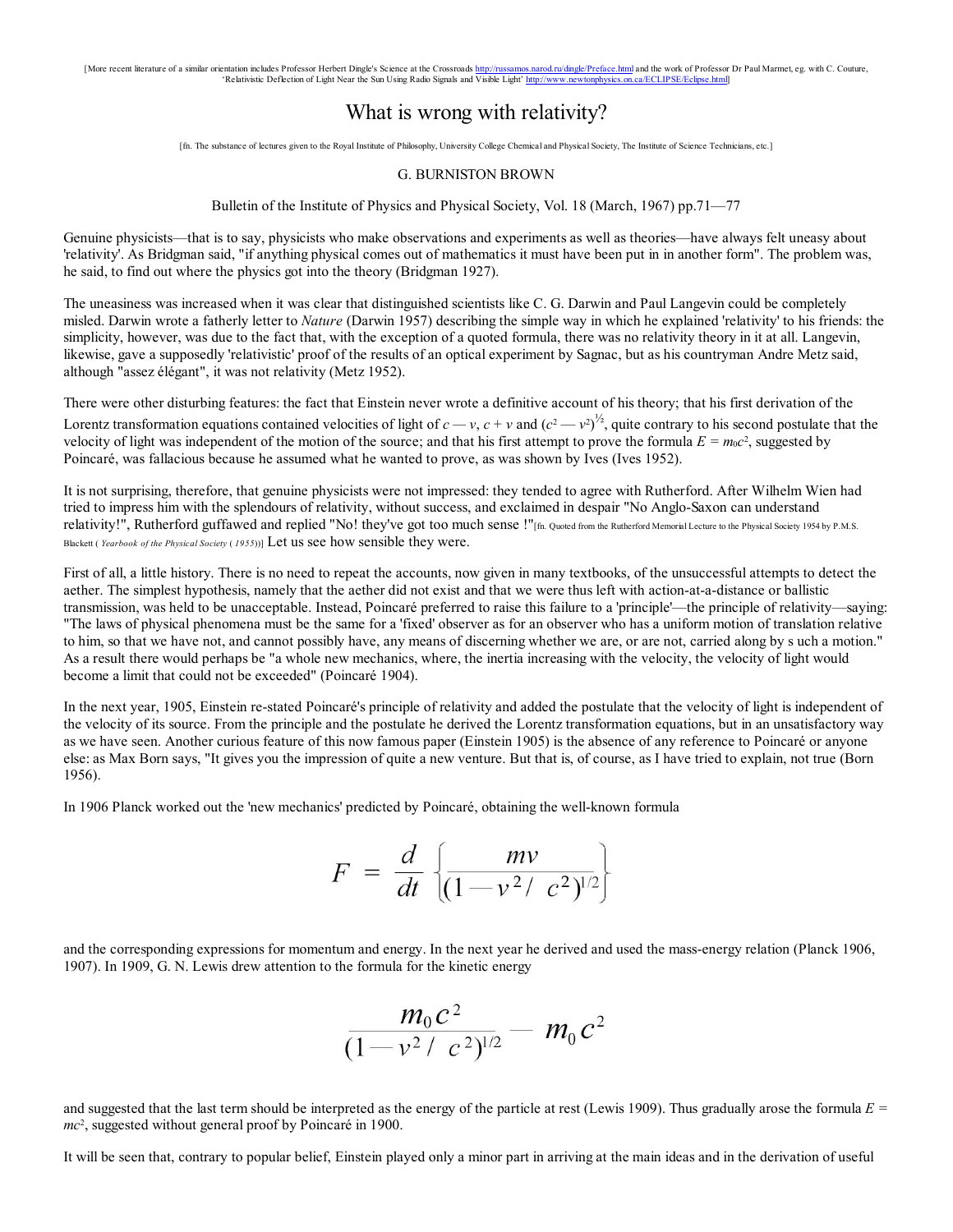[More recent literature of a similar orientation includes Professor Herbert Dingle's Science at the Crossroads http://russ<u>amos.narod.ru/dingle/Preface.htm</u>| **and the work of Professor Dr Pa**ul Marmet, eg. with C. Couture,

# What is wrong with relativity?

[fn. The substance of lectures given to the Royal Institute of Philosophy, University College Chemical and Physical Society, The Institute of Science Technicians, etc.]

#### G. BURNISTON BROWN

## Bulletin of the Institute of Physics and Physical Society, Vol. 18 (March, 1967) pp.71—77

Genuine physicists—that is to say, physicists who make observations and experiments as well as theories—have always felt uneasy about 'relativity'. As Bridgman said, "if anything physical comes out of mathematics it must have been put in in another form". The problem was, he said, to find out where the physics got into the theory (Bridgman 1927).

The uneasiness was increased when it was clear that distinguished scientists like C. G. Darwin and Paul Langevin could be completely misled. Darwin wrote a fatherly letter to *Nature* (Darwin 1957) describing the simple way in which he explained 'relativity' to his friends: the simplicity, however, was due to the fact that, with the exception of a quoted formula, there was no relativity theory in it at all. Langevin, likewise, gave a supposedly 'relativistic' proof of the results of an optical experiment by Sagnac, but as his countryman Andre Metz said, although "assez élégant", it was not relativity (Metz 1952).

There were other disturbing features: the fact that Einstein never wrote a definitive account of his theory; that his first derivation of the Lorentz transformation equations contained velocities of light of  $c-v$ ,  $c+v$  and  $(c^2-v^2)^{1/2}$ , quite contrary to his second postulate that the velocity of light was independent of the motion of the source; and that his first attempt to prove the formula  $E = m_0 c^2$ , suggested by Poincaré, was fallacious because he assumed what he wanted to prove, as was shown by Ives (Ives 1952).

It is not surprising, therefore, that genuine physicists were not impressed: they tended to agree with Rutherford. After Wilhelm Wien had tried to impress him with the splendours of relativity, without success, and exclaimed in despair "No Anglo-Saxon can understand relativity!", Rutherford guffawed and replied "No! they've got too much sense !"[fn. Quoted from the Rutherford Memorial Lecture to the Physical Society 1954 by P.M.S. Blackett (*Yearbook of the Physical Society* (1955))] Let us see how sensible they were.

First of all, a little history. There is no need to repeat the accounts, now given in many textbooks, of the unsuccessful attempts to detect the aether. The simplest hypothesis, namely that the aether did not exist and that we were thus left with action-at-a-distance or ballistic transmission, was held to be unacceptable. Instead, Poincaré preferred to raise this failure to a 'principle'—the principle of relativity—saying: "The laws of physical phenomena must be the same for a 'fixed' observer as for an observer who has a uniform motion of translation relative to him, so that we have not, and cannot possibly have, any means of discerning whether we are, or are not, carried along by s uch a motion." As a result there would perhaps be "a whole new mechanics, where, the inertia increasing with the velocity, the velocity of light would become a limit that could not be exceeded" (Poincaré 1904).

In the next year, 1905, Einstein re-stated Poincaré's principle of relativity and added the postulate that the velocity of light is independent of the velocity of its source. From the principle and the postulate he derived the Lorentz transformation equations, but in an unsatisfactory way as we have seen. Another curious feature of this now famous paper (Einstein 1905) is the absence of any reference to Poincaré or anyone else: as Max Born says, "It gives you the impression of quite a new venture. But that is, of course, as I have tried to explain, not true (Born 1956).

In 1906 Planck worked out the 'new mechanics' predicted by Poincaré, obtaining the well-known formula

$$
F = \frac{d}{dt} \left\{ \frac{mv}{(1 - v^2/c^2)^{1/2}} \right\}
$$

and the corresponding expressions for momentum and energy. In the next year he derived and used the mass-energy relation (Planck 1906, 1907). In 1909, G. N. Lewis drew attention to the formula for the kinetic energy

$$
\frac{m_0c^2}{(1\!-\!v^2\!+\!c^2)^{\!1\!/\!2}}-m_0c^2
$$

and suggested that the last term should be interpreted as the energy of the particle at rest (Lewis 1909). Thus gradually arose the formula  $E =$ mc<sup>2</sup>, suggested without general proof by Poincaré in 1900.

It will be seen that, contrary to popular belief, Einstein played only a minor part in arriving at the main ideas and in the derivation of useful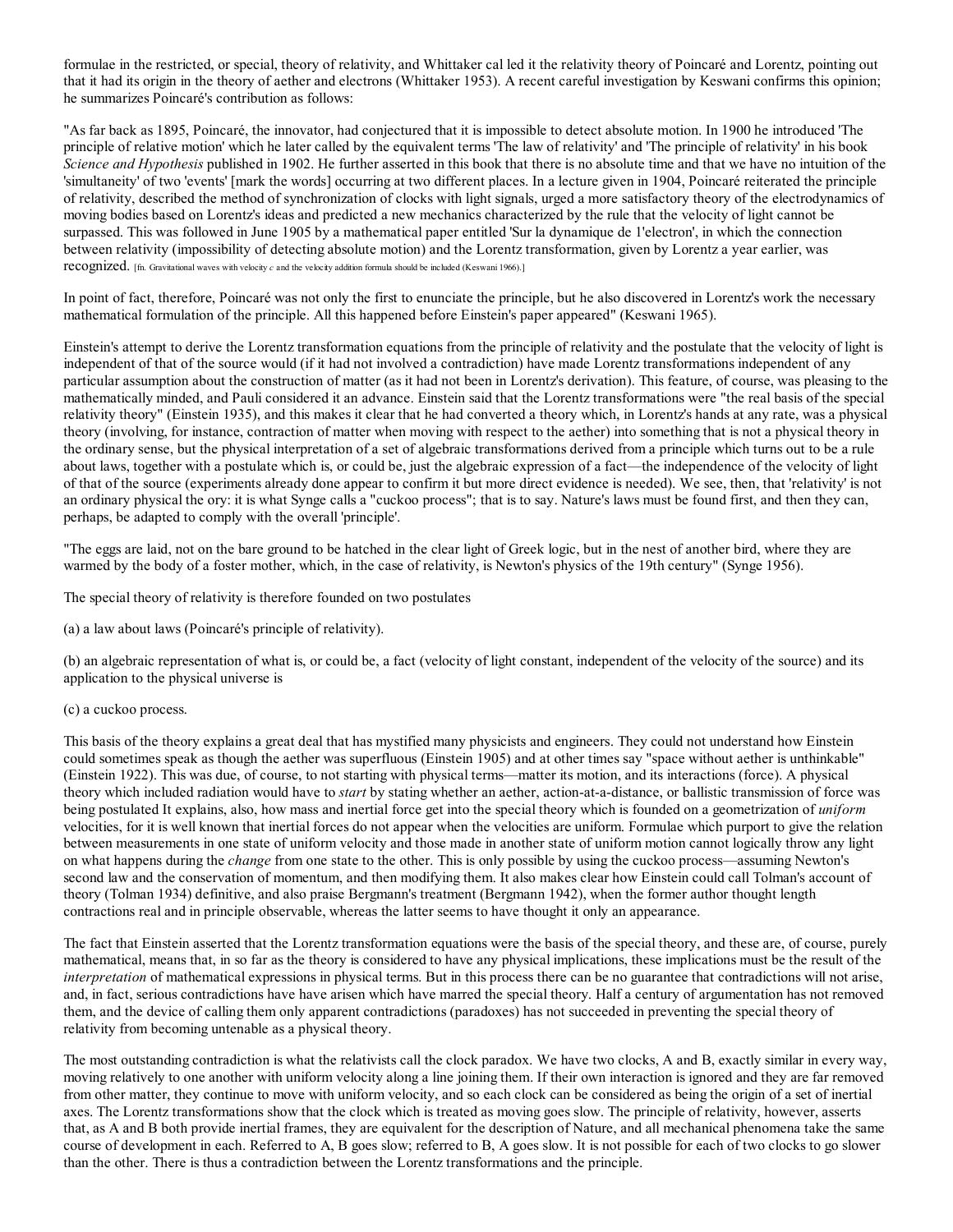formulae in the restricted, or special, theory of relativity, and Whittaker cal led it the relativity theory of Poincaré and Lorentz, pointing out that it had its origin in the theory of aether and electrons (Whittaker 1953). A recent careful investigation by Keswani confirms this opinion; he summarizes Poincaré's contribution as follows:

"As far back as 1895, Poincaré, the innovator, had conjectured that it is impossible to detect absolute motion. In 1900 he introduced 'The principle of relative motion' which he later called by the equivalent terms 'The law of relativity' and 'The principle of relativity' in his book Science and Hypothesis published in 1902. He further asserted in this book that there is no absolute time and that we have no intuition of the 'simultaneity' of two 'events' [mark the words] occurring at two different places. In a lecture given in 1904, Poincaré reiterated the principle of relativity, described the method of synchronization of clocks with light signals, urged a more satisfactory theory of the electrodynamics of moving bodies based on Lorentz's ideas and predicted a new mechanics characterized by the rule that the velocity of light cannot be surpassed. This was followed in June 1905 by a mathematical paper entitled 'Sur la dynamique de 1'electron', in which the connection between relativity (impossibility of detecting absolute motion) and the Lorentz transformation, given by Lorentz a year earlier, was recognized. [fn. Gravitational waves with velocity c and the velocity addition formula should be included (Keswani 1966).]

In point of fact, therefore, Poincaré was not only the first to enunciate the principle, but he also discovered in Lorentz's work the necessary mathematical formulation of the principle. All this happened before Einstein's paper appeared" (Keswani 1965).

Einstein's attempt to derive the Lorentz transformation equations from the principle of relativity and the postulate that the velocity of light is independent of that of the source would (if it had not involved a contradiction) have made Lorentz transformations independent of any particular assumption about the construction of matter (as it had not been in Lorentz's derivation). This feature, of course, was pleasing to the mathematically minded, and Pauli considered it an advance. Einstein said that the Lorentz transformations were "the real basis of the special relativity theory" (Einstein 1935), and this makes it clear that he had converted a theory which, in Lorentz's hands at any rate, was a physical theory (involving, for instance, contraction of matter when moving with respect to the aether) into something that is not a physical theory in the ordinary sense, but the physical interpretation of a set of algebraic transformations derived from a principle which turns out to be a rule about laws, together with a postulate which is, or could be, just the algebraic expression of a fact—the independence of the velocity of light of that of the source (experiments already done appear to confirm it but more direct evidence is needed). We see, then, that 'relativity' is not an ordinary physical the ory: it is what Synge calls a "cuckoo process"; that is to say. Nature's laws must be found first, and then they can, perhaps, be adapted to comply with the overall 'principle'.

"The eggs are laid, not on the bare ground to be hatched in the clear light of Greek logic, but in the nest of another bird, where they are warmed by the body of a foster mother, which, in the case of relativity, is Newton's physics of the 19th century" (Synge 1956).

The special theory of relativity is therefore founded on two postulates

(a) a law about laws (Poincaré's principle of relativity).

(b) an algebraic representation of what is, or could be, a fact (velocity of light constant, independent of the velocity of the source) and its application to the physical universe is

### (c) a cuckoo process.

This basis of the theory explains a great deal that has mystified many physicists and engineers. They could not understand how Einstein could sometimes speak as though the aether was superfluous (Einstein 1905) and at other times say "space without aether is unthinkable" (Einstein 1922). This was due, of course, to not starting with physical terms—matter its motion, and its interactions (force). A physical theory which included radiation would have to *start* by stating whether an aether, action-at-a-distance, or ballistic transmission of force was being postulated It explains, also, how mass and inertial force get into the special theory which is founded on a geometrization of *uniform* velocities, for it is well known that inertial forces do not appear when the velocities are uniform. Formulae which purport to give the relation between measurements in one state of uniform velocity and those made in another state of uniform motion cannot logically throw any light on what happens during the *change* from one state to the other. This is only possible by using the cuckoo process—assuming Newton's second law and the conservation of momentum, and then modifying them. It also makes clear how Einstein could call Tolman's account of theory (Tolman 1934) definitive, and also praise Bergmann's treatment (Bergmann 1942), when the former author thought length contractions real and in principle observable, whereas the latter seems to have thought it only an appearance.

The fact that Einstein asserted that the Lorentz transformation equations were the basis of the special theory, and these are, of course, purely mathematical, means that, in so far as the theory is considered to have any physical implications, these implications must be the result of the interpretation of mathematical expressions in physical terms. But in this process there can be no guarantee that contradictions will not arise, and, in fact, serious contradictions have have arisen which have marred the special theory. Half a century of argumentation has not removed them, and the device of calling them only apparent contradictions (paradoxes) has not succeeded in preventing the special theory of relativity from becoming untenable as a physical theory.

The most outstanding contradiction is what the relativists call the clock paradox. We have two clocks, A and B, exactly similar in every way, moving relatively to one another with uniform velocity along a line joining them. If their own interaction is ignored and they are far removed from other matter, they continue to move with uniform velocity, and so each clock can be considered as being the origin of a set of inertial axes. The Lorentz transformations show that the clock which is treated as moving goes slow. The principle of relativity, however, asserts that, as A and B both provide inertial frames, they are equivalent for the description of Nature, and all mechanical phenomena take the same course of development in each. Referred to A, B goes slow; referred to B, A goes slow. It is not possible for each of two clocks to go slower than the other. There is thus a contradiction between the Lorentz transformations and the principle.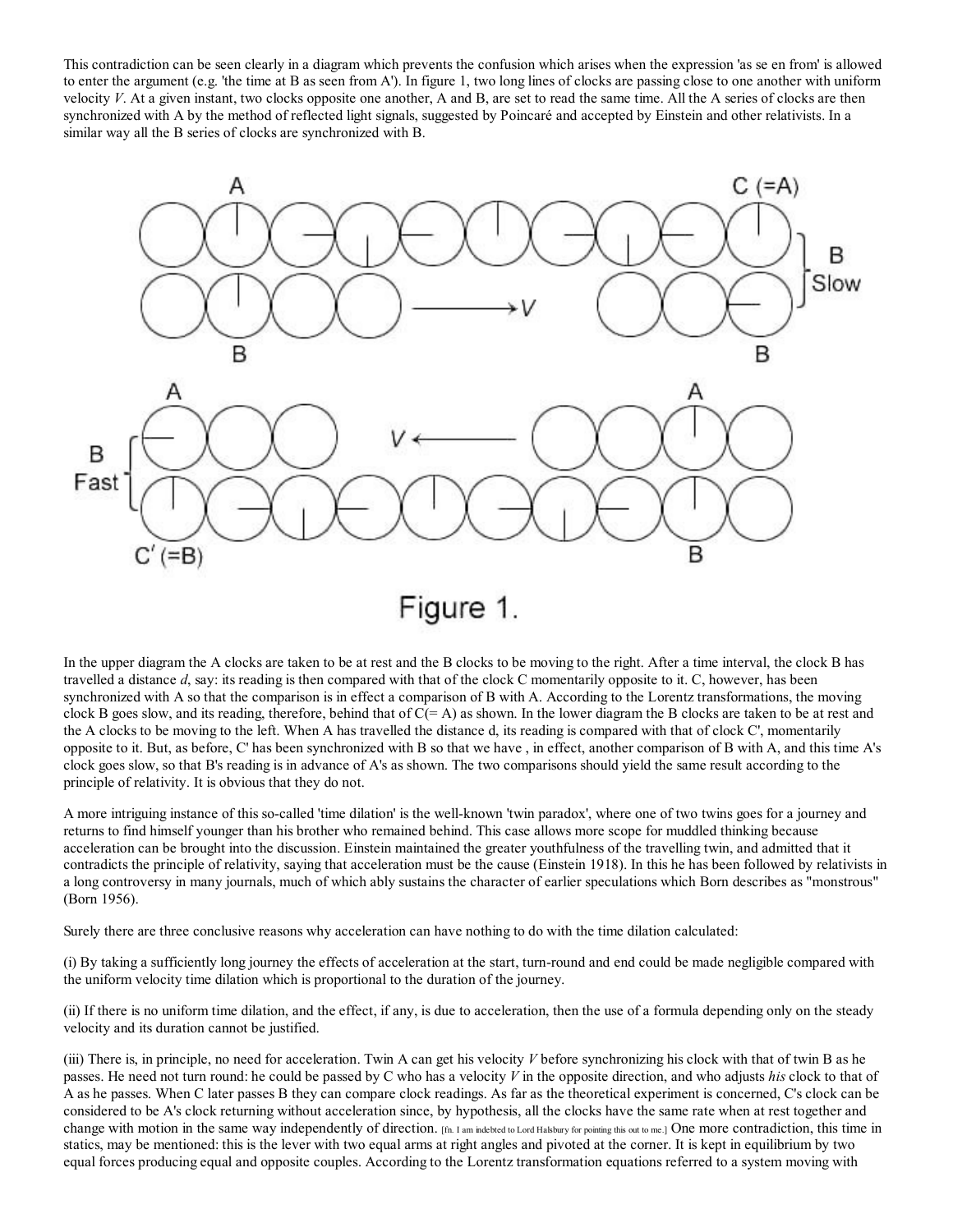This contradiction can be seen clearly in a diagram which prevents the confusion which arises when the expression 'as se en from' is allowed to enter the argument (e.g. 'the time at B as seen from A'). In figure 1, two long lines of clocks are passing close to one another with uniform velocity  $V$ . At a given instant, two clocks opposite one another, A and B, are set to read the same time. All the A series of clocks are then synchronized with A by the method of reflected light signals, suggested by Poincaré and accepted by Einstein and other relativists. In a similar way all the B series of clocks are synchronized with B.



In the upper diagram the A clocks are taken to be at rest and the B clocks to be moving to the right. After a time interval, the clock B has travelled a distance  $d$ , say: its reading is then compared with that of the clock C momentarily opposite to it. C, however, has been synchronized with A so that the comparison is in effect a comparison of B with A. According to the Lorentz transformations, the moving clock B goes slow, and its reading, therefore, behind that of  $C(= A)$  as shown. In the lower diagram the B clocks are taken to be at rest and the A clocks to be moving to the left. When A has travelled the distance d, its reading is compared with that of clock C', momentarily opposite to it. But, as before, C' has been synchronized with B so that we have , in effect, another comparison of B with A, and this time A's clock goes slow, so that B's reading is in advance of A's as shown. The two comparisons should yield the same result according to the principle of relativity. It is obvious that they do not.

A more intriguing instance of this so-called 'time dilation' is the well-known 'twin paradox', where one of two twins goes for a journey and returns to find himself younger than his brother who remained behind. This case allows more scope for muddled thinking because acceleration can be brought into the discussion. Einstein maintained the greater youthfulness of the travelling twin, and admitted that it contradicts the principle of relativity, saying that acceleration must be the cause (Einstein 1918). In this he has been followed by relativists in a long controversy in many journals, much of which ably sustains the character of earlier speculations which Born describes as "monstrous" (Born 1956).

Surely there are three conclusive reasons why acceleration can have nothing to do with the time dilation calculated:

(i) By taking a sufficiently long journey the effects of acceleration at the start, turn-round and end could be made negligible compared with the uniform velocity time dilation which is proportional to the duration of the journey.

(ii) If there is no uniform time dilation, and the effect, if any, is due to acceleration, then the use of a formula depending only on the steady velocity and its duration cannot be justified.

(iii) There is, in principle, no need for acceleration. Twin A can get his velocity  $V$  before synchronizing his clock with that of twin B as he passes. He need not turn round: he could be passed by C who has a velocity V in the opposite direction, and who adjusts his clock to that of A as he passes. When C later passes B they can compare clock readings. As far as the theoretical experiment is concerned, C's clock can be considered to be A's clock returning without acceleration since, by hypothesis, all the clocks have the same rate when at rest together and change with motion in the same way independently of direction. [fn. I am indebted to Lord Halsbury for pointing this out to me.] One more contradiction, this time in statics, may be mentioned: this is the lever with two equal arms at right angles and pivoted at the corner. It is kept in equilibrium by two equal forces producing equal and opposite couples. According to the Lorentz transformation equations referred to a system moving with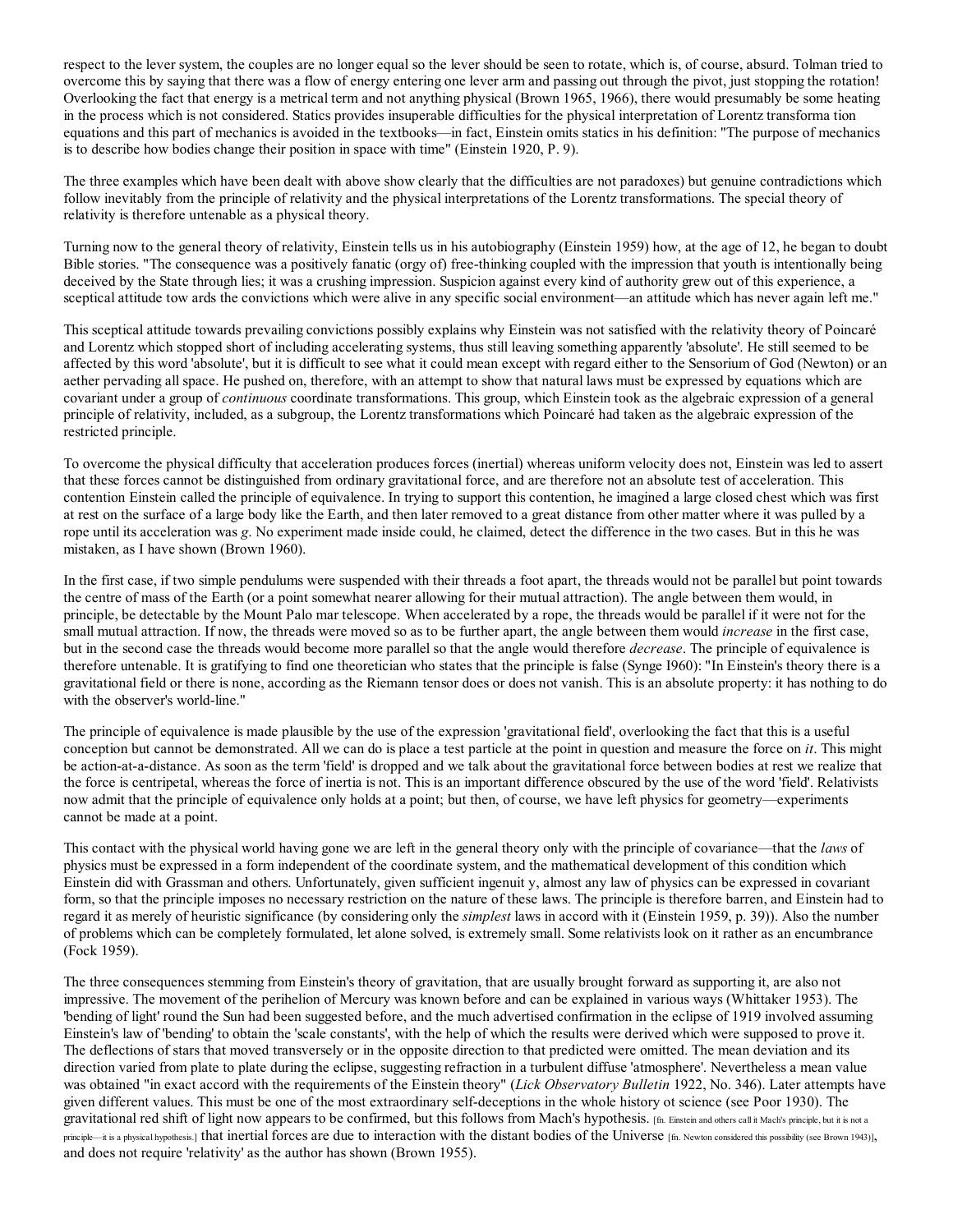respect to the lever system, the couples are no longer equal so the lever should be seen to rotate, which is, of course, absurd. Tolman tried to overcome this by saying that there was a flow of energy entering one lever arm and passing out through the pivot, just stopping the rotation! Overlooking the fact that energy is a metrical term and not anything physical (Brown 1965, 1966), there would presumably be some heating in the process which is not considered. Statics provides insuperable difficulties for the physical interpretation of Lorentz transforma tion equations and this part of mechanics is avoided in the textbooks—in fact, Einstein omits statics in his definition: "The purpose of mechanics is to describe how bodies change their position in space with time" (Einstein 1920, P. 9).

The three examples which have been dealt with above show clearly that the difficulties are not paradoxes) but genuine contradictions which follow inevitably from the principle of relativity and the physical interpretations of the Lorentz transformations. The special theory of relativity is therefore untenable as a physical theory.

Turning now to the general theory of relativity, Einstein tells us in his autobiography (Einstein 1959) how, at the age of 12, he began to doubt Bible stories. "The consequence was a positively fanatic (orgy of) free-thinking coupled with the impression that youth is intentionally being deceived by the State through lies; it was a crushing impression. Suspicion against every kind of authority grew out of this experience, a sceptical attitude tow ards the convictions which were alive in any specific social environment—an attitude which has never again left me."

This sceptical attitude towards prevailing convictions possibly explains why Einstein was not satisfied with the relativity theory of Poincaré and Lorentz which stopped short of including accelerating systems, thus still leaving something apparently 'absolute'. He still seemed to be affected by this word 'absolute', but it is difficult to see what it could mean except with regard either to the Sensorium of God (Newton) or an aether pervading all space. He pushed on, therefore, with an attempt to show that natural laws must be expressed by equations which are covariant under a group of *continuous* coordinate transformations. This group, which Einstein took as the algebraic expression of a general principle of relativity, included, as a subgroup, the Lorentz transformations which Poincaré had taken as the algebraic expression of the restricted principle.

To overcome the physical difficulty that acceleration produces forces (inertial) whereas uniform velocity does not, Einstein was led to assert that these forces cannot be distinguished from ordinary gravitational force, and are therefore not an absolute test of acceleration. This contention Einstein called the principle of equivalence. In trying to support this contention, he imagined a large closed chest which was first at rest on the surface of a large body like the Earth, and then later removed to a great distance from other matter where it was pulled by a rope until its acceleration was g. No experiment made inside could, he claimed, detect the difference in the two cases. But in this he was mistaken, as I have shown (Brown 1960).

In the first case, if two simple pendulums were suspended with their threads a foot apart, the threads would not be parallel but point towards the centre of mass of the Earth (or a point somewhat nearer allowing for their mutual attraction). The angle between them would, in principle, be detectable by the Mount Palo mar telescope. When accelerated by a rope, the threads would be parallel if it were not for the small mutual attraction. If now, the threads were moved so as to be further apart, the angle between them would *increase* in the first case, but in the second case the threads would become more parallel so that the angle would therefore *decrease*. The principle of equivalence is therefore untenable. It is gratifying to find one theoretician who states that the principle is false (Synge I960): "In Einstein's theory there is a gravitational field or there is none, according as the Riemann tensor does or does not vanish. This is an absolute property: it has nothing to do with the observer's world-line."

The principle of equivalence is made plausible by the use of the expression 'gravitational field', overlooking the fact that this is a useful conception but cannot be demonstrated. All we can do is place a test particle at the point in question and measure the force on  $it$ . This might be action-at-a-distance. As soon as the term 'field' is dropped and we talk about the gravitational force between bodies at rest we realize that the force is centripetal, whereas the force of inertia is not. This is an important difference obscured by the use of the word 'field'. Relativists now admit that the principle of equivalence only holds at a point; but then, of course, we have left physics for geometry—experiments cannot be made at a point.

This contact with the physical world having gone we are left in the general theory only with the principle of covariance—that the laws of physics must be expressed in a form independent of the coordinate system, and the mathematical development of this condition which Einstein did with Grassman and others. Unfortunately, given sufficient ingenuit y, almost any law of physics can be expressed in covariant form, so that the principle imposes no necessary restriction on the nature of these laws. The principle is therefore barren, and Einstein had to regard it as merely of heuristic significance (by considering only the *simplest* laws in accord with it (Einstein 1959, p. 39)). Also the number of problems which can be completely formulated, let alone solved, is extremely small. Some relativists look on it rather as an encumbrance (Fock 1959).

The three consequences stemming from Einstein's theory of gravitation, that are usually brought forward as supporting it, are also not impressive. The movement of the perihelion of Mercury was known before and can be explained in various ways (Whittaker 1953). The 'bending of light' round the Sun had been suggested before, and the much advertised confirmation in the eclipse of 1919 involved assuming Einstein's law of 'bending' to obtain the 'scale constants', with the help of which the results were derived which were supposed to prove it. The deflections of stars that moved transversely or in the opposite direction to that predicted were omitted. The mean deviation and its direction varied from plate to plate during the eclipse, suggesting refraction in a turbulent diffuse 'atmosphere'. Nevertheless a mean value was obtained "in exact accord with the requirements of the Einstein theory" (Lick Observatory Bulletin 1922, No. 346). Later attempts have given different values. This must be one of the most extraordinary self-deceptions in the whole history ot science (see Poor 1930). The gravitational red shift of light now appears to be confirmed, but this follows from Mach's hypothesis. [fn. Einstein and others call it Mach's principle, but it is not a principle—it is a physical hypothesis.] that inertial forces are due to interaction with the distant bodies of the Universe [fn. Newton considered this possibility (see Brown 1943)], and does not require 'relativity' as the author has shown (Brown 1955).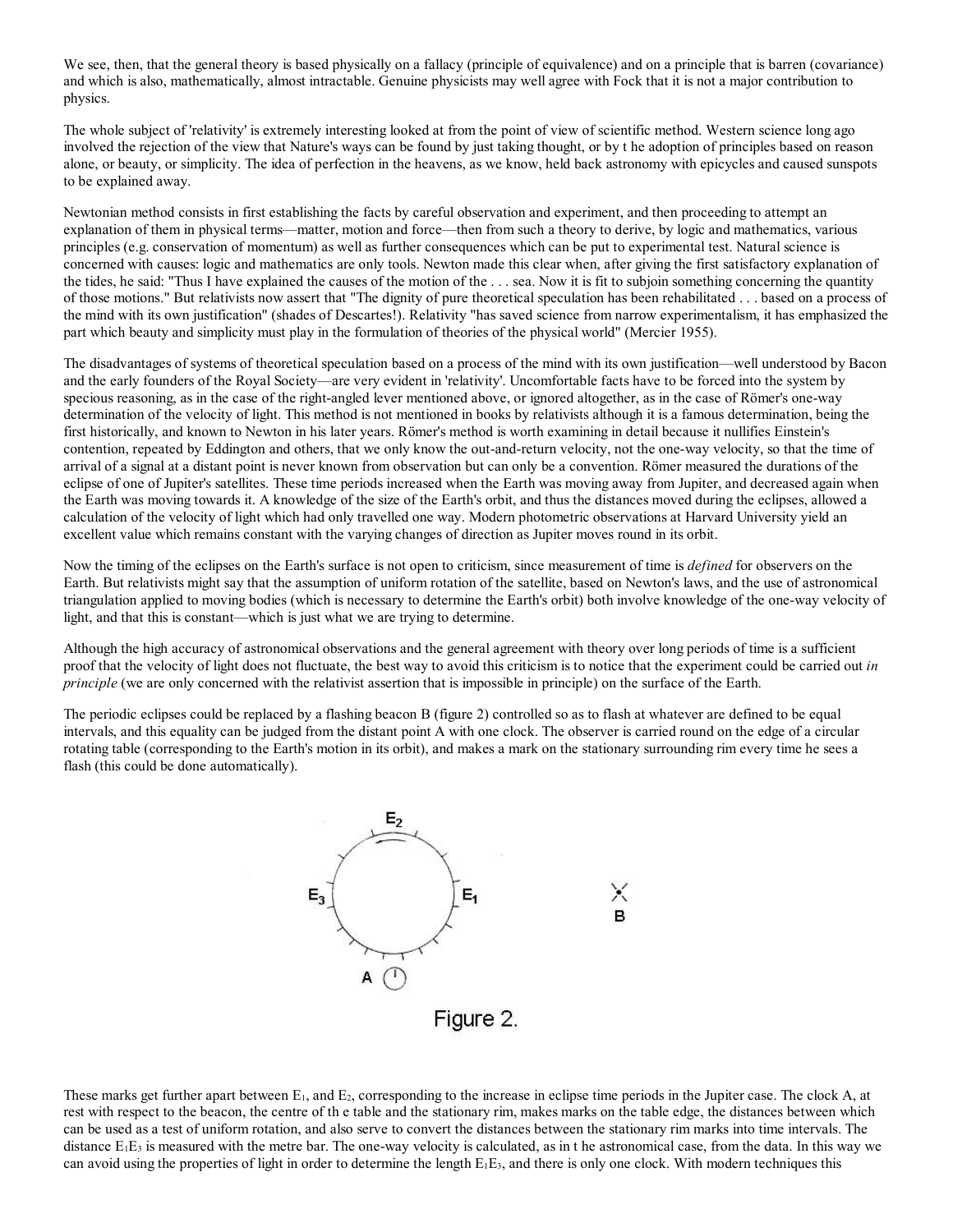We see, then, that the general theory is based physically on a fallacy (principle of equivalence) and on a principle that is barren (covariance) and which is also, mathematically, almost intractable. Genuine physicists may well agree with Fock that it is not a major contribution to physics.

The whole subject of 'relativity' is extremely interesting looked at from the point of view of scientific method. Western science long ago involved the rejection of the view that Nature's ways can be found by just taking thought, or by t he adoption of principles based on reason alone, or beauty, or simplicity. The idea of perfection in the heavens, as we know, held back astronomy with epicycles and caused sunspots to be explained away.

Newtonian method consists in first establishing the facts by careful observation and experiment, and then proceeding to attempt an explanation of them in physical terms—matter, motion and force—then from such a theory to derive, by logic and mathematics, various principles (e.g. conservation of momentum) as well as further consequences which can be put to experimental test. Natural science is concerned with causes: logic and mathematics are only tools. Newton made this clear when, after giving the first satisfactory explanation of the tides, he said: "Thus I have explained the causes of the motion of the . . . sea. Now it is fit to subjoin something concerning the quantity of those motions." But relativists now assert that "The dignity of pure theoretical speculation has been rehabilitated . . . based on a process of the mind with its own justification" (shades of Descartes!). Relativity "has saved science from narrow experimentalism, it has emphasized the part which beauty and simplicity must play in the formulation of theories of the physical world" (Mercier 1955).

The disadvantages of systems of theoretical speculation based on a process of the mind with its own justification—well understood by Bacon and the early founders of the Royal Society—are very evident in 'relativity'. Uncomfortable facts have to be forced into the system by specious reasoning, as in the case of the right-angled lever mentioned above, or ignored altogether, as in the case of Römer's one-way determination of the velocity of light. This method is not mentioned in books by relativists although it is a famous determination, being the first historically, and known to Newton in his later years. Römer's method is worth examining in detail because it nullifies Einstein's contention, repeated by Eddington and others, that we only know the out-and-return velocity, not the one-way velocity, so that the time of arrival of a signal at a distant point is never known from observation but can only be a convention. Römer measured the durations of the eclipse of one of Jupiter's satellites. These time periods increased when the Earth was moving away from Jupiter, and decreased again when the Earth was moving towards it. A knowledge of the size of the Earth's orbit, and thus the distances moved during the eclipses, allowed a calculation of the velocity of light which had only travelled one way. Modern photometric observations at Harvard University yield an excellent value which remains constant with the varying changes of direction as Jupiter moves round in its orbit.

Now the timing of the eclipses on the Earth's surface is not open to criticism, since measurement of time is *defined* for observers on the Earth. But relativists might say that the assumption of uniform rotation of the satellite, based on Newton's laws, and the use of astronomical triangulation applied to moving bodies (which is necessary to determine the Earth's orbit) both involve knowledge of the one-way velocity of light, and that this is constant—which is just what we are trying to determine.

Although the high accuracy of astronomical observations and the general agreement with theory over long periods of time is a sufficient proof that the velocity of light does not fluctuate, the best way to avoid this criticism is to notice that the experiment could be carried out in principle (we are only concerned with the relativist assertion that is impossible in principle) on the surface of the Earth.

The periodic eclipses could be replaced by a flashing beacon B (figure 2) controlled so as to flash at whatever are defined to be equal intervals, and this equality can be judged from the distant point A with one clock. The observer is carried round on the edge of a circular rotating table (corresponding to the Earth's motion in its orbit), and makes a mark on the stationary surrounding rim every time he sees a flash (this could be done automatically).



These marks get further apart between  $E_1$ , and  $E_2$ , corresponding to the increase in eclipse time periods in the Jupiter case. The clock A, at rest with respect to the beacon, the centre of th e table and the stationary rim, makes marks on the table edge, the distances between which can be used as a test of uniform rotation, and also serve to convert the distances between the stationary rim marks into time intervals. The distance  $E_1E_3$  is measured with the metre bar. The one-way velocity is calculated, as in the astronomical case, from the data. In this way we can avoid using the properties of light in order to determine the length  $E_1E_3$ , and there is only one clock. With modern techniques this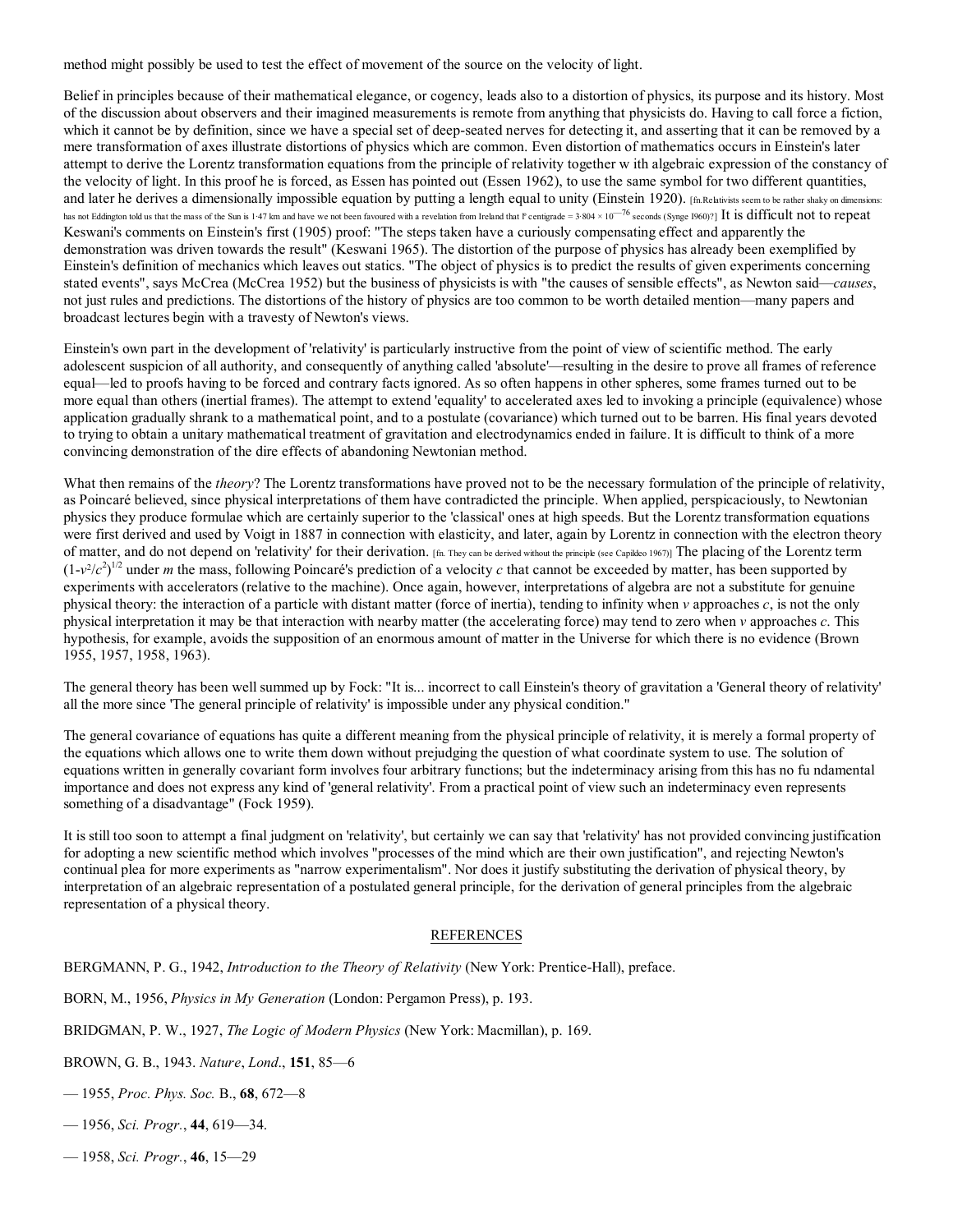method might possibly be used to test the effect of movement of the source on the velocity of light.

Belief in principles because of their mathematical elegance, or cogency, leads also to a distortion of physics, its purpose and its history. Most of the discussion about observers and their imagined measurements is remote from anything that physicists do. Having to call force a fiction, which it cannot be by definition, since we have a special set of deep-seated nerves for detecting it, and asserting that it can be removed by a mere transformation of axes illustrate distortions of physics which are common. Even distortion of mathematics occurs in Einstein's later attempt to derive the Lorentz transformation equations from the principle of relativity together w ith algebraic expression of the constancy of the velocity of light. In this proof he is forced, as Essen has pointed out (Essen 1962), to use the same symbol for two different quantities, and later he derives a dimensionally impossible equation by putting a length equal to unity (Einstein 1920). [fn.Relativists seem to be rather shaky on dimensions: has not Eddington told us that the mass of the Sun is 1<sup>47</sup> km and have we not been favoured with a revelation from Ireland that  $\ell$  centigrade = 3·804 × 10<sup>-76</sup> seconds (Synge 1960)?] It is difficult not to repeat Keswani's comments on Einstein's first (1905) proof: "The steps taken have a curiously compensating effect and apparently the demonstration was driven towards the result" (Keswani 1965). The distortion of the purpose of physics has already been exemplified by Einstein's definition of mechanics which leaves out statics. "The object of physics is to predict the results of given experiments concerning stated events", says McCrea (McCrea 1952) but the business of physicists is with "the causes of sensible effects", as Newton said—causes, not just rules and predictions. The distortions of the history of physics are too common to be worth detailed mention—many papers and broadcast lectures begin with a travesty of Newton's views.

Einstein's own part in the development of 'relativity' is particularly instructive from the point of view of scientific method. The early adolescent suspicion of all authority, and consequently of anything called 'absolute'—resulting in the desire to prove all frames of reference equal—led to proofs having to be forced and contrary facts ignored. As so often happens in other spheres, some frames turned out to be more equal than others (inertial frames). The attempt to extend 'equality' to accelerated axes led to invoking a principle (equivalence) whose application gradually shrank to a mathematical point, and to a postulate (covariance) which turned out to be barren. His final years devoted to trying to obtain a unitary mathematical treatment of gravitation and electrodynamics ended in failure. It is difficult to think of a more convincing demonstration of the dire effects of abandoning Newtonian method.

What then remains of the theory? The Lorentz transformations have proved not to be the necessary formulation of the principle of relativity, as Poincaré believed, since physical interpretations of them have contradicted the principle. When applied, perspicaciously, to Newtonian physics they produce formulae which are certainly superior to the 'classical' ones at high speeds. But the Lorentz transformation equations were first derived and used by Voigt in 1887 in connection with elasticity, and later, again by Lorentz in connection with the electron theory of matter, and do not depend on 'relativity' for their derivation. [fn. They can be derived without the principle (see Capildeo 1967)] The placing of the Lorentz term  $(1-v^2/c^2)^{1/2}$  under *m* the mass, following Poincaré's prediction of a velocity *c* that cannot be exceeded by matter, has been supported by experiments with accelerators (relative to the machine). Once again, however, interpretations of algebra are not a substitute for genuine physical theory: the interaction of a particle with distant matter (force of inertia), tending to infinity when v approaches c, is not the only physical interpretation it may be that interaction with nearby matter (the accelerating force) may tend to zero when  $\nu$  approaches  $c$ . This hypothesis, for example, avoids the supposition of an enormous amount of matter in the Universe for which there is no evidence (Brown 1955, 1957, 1958, 1963).

The general theory has been well summed up by Fock: "It is... incorrect to call Einstein's theory of gravitation a 'General theory of relativity' all the more since 'The general principle of relativity' is impossible under any physical condition."

The general covariance of equations has quite a different meaning from the physical principle of relativity, it is merely a formal property of the equations which allows one to write them down without prejudging the question of what coordinate system to use. The solution of equations written in generally covariant form involves four arbitrary functions; but the indeterminacy arising from this has no fu ndamental importance and does not express any kind of 'general relativity'. From a practical point of view such an indeterminacy even represents something of a disadvantage" (Fock 1959).

It is still too soon to attempt a final judgment on 'relativity', but certainly we can say that 'relativity' has not provided convincing justification for adopting a new scientific method which involves "processes of the mind which are their own justification", and rejecting Newton's continual plea for more experiments as "narrow experimentalism". Nor does it justify substituting the derivation of physical theory, by interpretation of an algebraic representation of a postulated general principle, for the derivation of general principles from the algebraic representation of a physical theory.

# **REFERENCES**

BERGMANN, P. G., 1942, *Introduction to the Theory of Relativity* (New York: Prentice-Hall), preface.

BORN, M., 1956, *Physics in My Generation* (London: Pergamon Press), p. 193.

BRIDGMAN, P. W., 1927, The Logic of Modern Physics (New York: Macmillan), p. 169.

BROWN, G. B., 1943. Nature, Lond., 151, 85—6

- 1955, Proc. Phys. Soc. B., 68, 672—8
- 1956, Sci. Progr., 44, 619—34.
- 1958, Sci. Progr., 46, 15—29